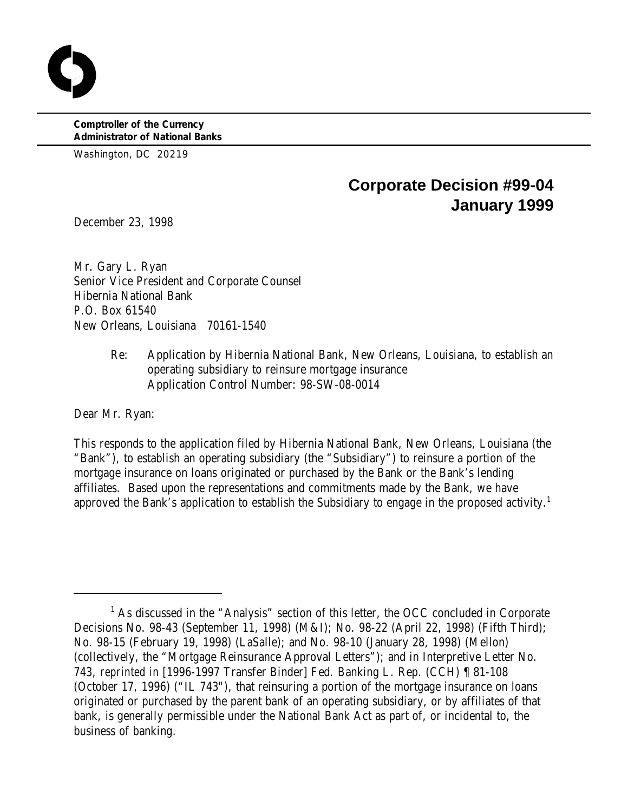**Comptroller of the Currency Administrator of National Banks**

Washington, DC 20219

# **Corporate Decision #99-04 January 1999**

December 23, 1998

Mr. Gary L. Ryan Senior Vice President and Corporate Counsel Hibernia National Bank P.O. Box 61540 New Orleans, Louisiana 70161-1540

> Re: Application by Hibernia National Bank, New Orleans, Louisiana, to establish an operating subsidiary to reinsure mortgage insurance Application Control Number: 98-SW-08-0014

Dear Mr. Ryan:

This responds to the application filed by Hibernia National Bank, New Orleans, Louisiana (the "Bank"), to establish an operating subsidiary (the "Subsidiary") to reinsure a portion of the mortgage insurance on loans originated or purchased by the Bank or the Bank's lending affiliates. Based upon the representations and commitments made by the Bank, we have approved the Bank's application to establish the Subsidiary to engage in the proposed activity.<sup>1</sup>

 $<sup>1</sup>$  As discussed in the "Analysis" section of this letter, the OCC concluded in Corporate</sup> Decisions No. 98-43 (September 11, 1998) (M&I); No. 98-22 (April 22, 1998) (Fifth Third); No. 98-15 (February 19, 1998) (LaSalle); and No. 98-10 (January 28, 1998) (Mellon) (collectively, the "Mortgage Reinsurance Approval Letters"); and in Interpretive Letter No. 743, *reprinted in* [1996-1997 Transfer Binder] Fed. Banking L. Rep. (CCH) ¶ 81-108 (October 17, 1996) ("IL 743"), that reinsuring a portion of the mortgage insurance on loans originated or purchased by the parent bank of an operating subsidiary, or by affiliates of that bank, is generally permissible under the National Bank Act as part of, or incidental to, the business of banking.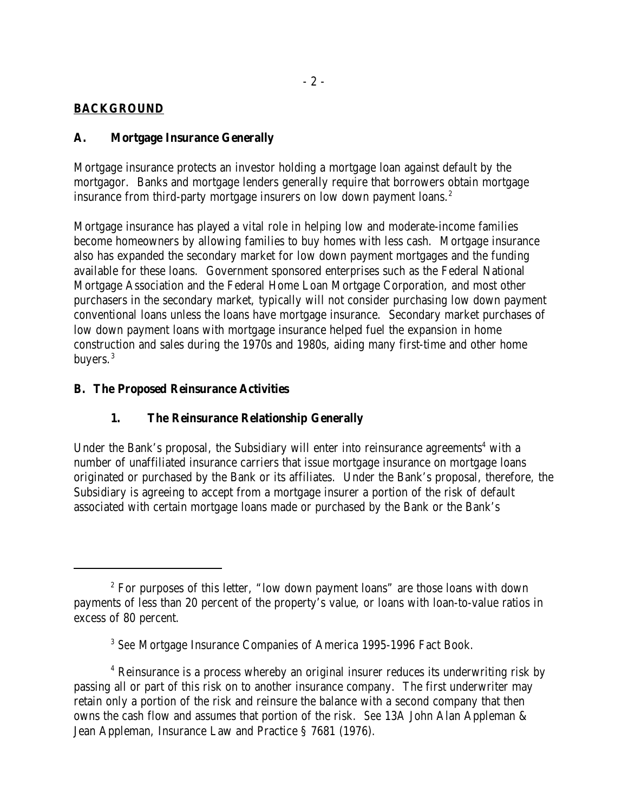## **BACKGROUND**

## **A. Mortgage Insurance Generally**

Mortgage insurance protects an investor holding a mortgage loan against default by the mortgagor. Banks and mortgage lenders generally require that borrowers obtain mortgage insurance from third-party mortgage insurers on low down payment loans.<sup>2</sup>

Mortgage insurance has played a vital role in helping low and moderate-income families become homeowners by allowing families to buy homes with less cash. Mortgage insurance also has expanded the secondary market for low down payment mortgages and the funding available for these loans. Government sponsored enterprises such as the Federal National Mortgage Association and the Federal Home Loan Mortgage Corporation, and most other purchasers in the secondary market, typically will not consider purchasing low down payment conventional loans unless the loans have mortgage insurance. Secondary market purchases of low down payment loans with mortgage insurance helped fuel the expansion in home construction and sales during the 1970s and 1980s, aiding many first-time and other home buyers.<sup>3</sup>

#### **B. The Proposed Reinsurance Activities**

## **1. The Reinsurance Relationship Generally**

Under the Bank's proposal, the Subsidiary will enter into reinsurance agreements<sup>4</sup> with a number of unaffiliated insurance carriers that issue mortgage insurance on mortgage loans originated or purchased by the Bank or its affiliates. Under the Bank's proposal, therefore, the Subsidiary is agreeing to accept from a mortgage insurer a portion of the risk of default associated with certain mortgage loans made or purchased by the Bank or the Bank's

 $2^{\circ}$  For purposes of this letter, "low down payment loans" are those loans with down payments of less than 20 percent of the property's value, or loans with loan-to-value ratios in excess of 80 percent.

<sup>&</sup>lt;sup>3</sup> See Mortgage Insurance Companies of America 1995-1996 Fact Book.

<sup>&</sup>lt;sup>4</sup> Reinsurance is a process whereby an original insurer reduces its underwriting risk by passing all or part of this risk on to another insurance company. The first underwriter may retain only a portion of the risk and reinsure the balance with a second company that then owns the cash flow and assumes that portion of the risk. *See* 13A John Alan Appleman & Jean Appleman, Insurance Law and Practice § 7681 (1976).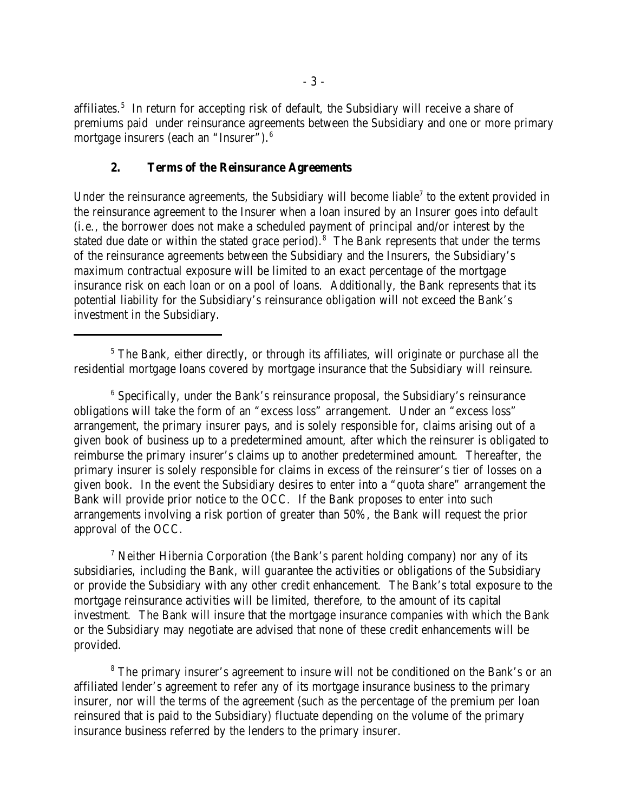affiliates.<sup>5</sup> In return for accepting risk of default, the Subsidiary will receive a share of premiums paid under reinsurance agreements between the Subsidiary and one or more primary mortgage insurers (each an "Insurer"). 6

#### **2. Terms of the Reinsurance Agreements**

Under the reinsurance agreements, the Subsidiary will become liable<sup>7</sup> to the extent provided in the reinsurance agreement to the Insurer when a loan insured by an Insurer goes into default (i.e., the borrower does not make a scheduled payment of principal and/or interest by the stated due date or within the stated grace period).<sup>8</sup> The Bank represents that under the terms of the reinsurance agreements between the Subsidiary and the Insurers, the Subsidiary's maximum contractual exposure will be limited to an exact percentage of the mortgage insurance risk on each loan or on a pool of loans. Additionally, the Bank represents that its potential liability for the Subsidiary's reinsurance obligation will not exceed the Bank's investment in the Subsidiary.

<sup>7</sup> Neither Hibernia Corporation (the Bank's parent holding company) nor any of its subsidiaries, including the Bank, will guarantee the activities or obligations of the Subsidiary or provide the Subsidiary with any other credit enhancement. The Bank's total exposure to the mortgage reinsurance activities will be limited, therefore, to the amount of its capital investment. The Bank will insure that the mortgage insurance companies with which the Bank or the Subsidiary may negotiate are advised that none of these credit enhancements will be provided.

<sup>8</sup> The primary insurer's agreement to insure will not be conditioned on the Bank's or an affiliated lender's agreement to refer any of its mortgage insurance business to the primary insurer, nor will the terms of the agreement (such as the percentage of the premium per loan reinsured that is paid to the Subsidiary) fluctuate depending on the volume of the primary insurance business referred by the lenders to the primary insurer.

 $5$  The Bank, either directly, or through its affiliates, will originate or purchase all the residential mortgage loans covered by mortgage insurance that the Subsidiary will reinsure.

 $6$  Specifically, under the Bank's reinsurance proposal, the Subsidiary's reinsurance obligations will take the form of an "excess loss" arrangement. Under an "excess loss" arrangement, the primary insurer pays, and is solely responsible for, claims arising out of a given book of business up to a predetermined amount, after which the reinsurer is obligated to reimburse the primary insurer's claims up to another predetermined amount. Thereafter, the primary insurer is solely responsible for claims in excess of the reinsurer's tier of losses on a given book. In the event the Subsidiary desires to enter into a "quota share" arrangement the Bank will provide prior notice to the OCC. If the Bank proposes to enter into such arrangements involving a risk portion of greater than 50%, the Bank will request the prior approval of the OCC.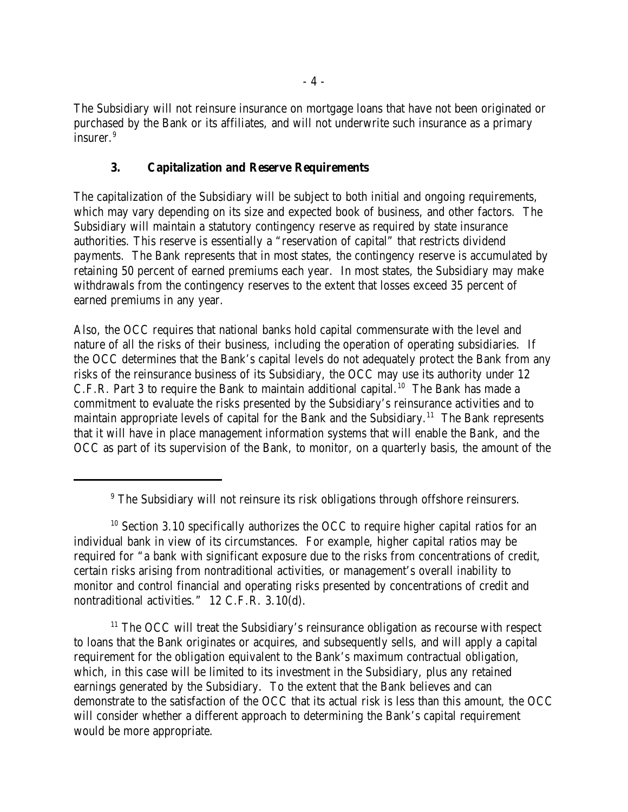The Subsidiary will not reinsure insurance on mortgage loans that have not been originated or purchased by the Bank or its affiliates, and will not underwrite such insurance as a primary insurer.<sup>9</sup>

# **3. Capitalization and Reserve Requirements**

The capitalization of the Subsidiary will be subject to both initial and ongoing requirements, which may vary depending on its size and expected book of business, and other factors. The Subsidiary will maintain a statutory contingency reserve as required by state insurance authorities. This reserve is essentially a "reservation of capital" that restricts dividend payments. The Bank represents that in most states, the contingency reserve is accumulated by retaining 50 percent of earned premiums each year. In most states, the Subsidiary may make withdrawals from the contingency reserves to the extent that losses exceed 35 percent of earned premiums in any year.

Also, the OCC requires that national banks hold capital commensurate with the level and nature of all the risks of their business, including the operation of operating subsidiaries. If the OCC determines that the Bank's capital levels do not adequately protect the Bank from any risks of the reinsurance business of its Subsidiary, the OCC may use its authority under 12 C.F.R. Part 3 to require the Bank to maintain additional capital.<sup>10</sup> The Bank has made a commitment to evaluate the risks presented by the Subsidiary's reinsurance activities and to maintain appropriate levels of capital for the Bank and the Subsidiary.<sup>11</sup> The Bank represents that it will have in place management information systems that will enable the Bank, and the OCC as part of its supervision of the Bank, to monitor, on a quarterly basis, the amount of the

 $11$  The OCC will treat the Subsidiary's reinsurance obligation as recourse with respect to loans that the Bank originates or acquires, and subsequently sells, and will apply a capital requirement for the obligation equivalent to the Bank's maximum contractual obligation, which, in this case will be limited to its investment in the Subsidiary, plus any retained earnings generated by the Subsidiary. To the extent that the Bank believes and can demonstrate to the satisfaction of the OCC that its actual risk is less than this amount, the OCC will consider whether a different approach to determining the Bank's capital requirement would be more appropriate.

<sup>&</sup>lt;sup>9</sup> The Subsidiary will not reinsure its risk obligations through offshore reinsurers.

 $10$  Section 3.10 specifically authorizes the OCC to require higher capital ratios for an individual bank in view of its circumstances. For example, higher capital ratios may be required for "a bank with significant exposure due to the risks from concentrations of credit, certain risks arising from nontraditional activities, or management's overall inability to monitor and control financial and operating risks presented by concentrations of credit and nontraditional activities." 12 C.F.R. 3.10(d).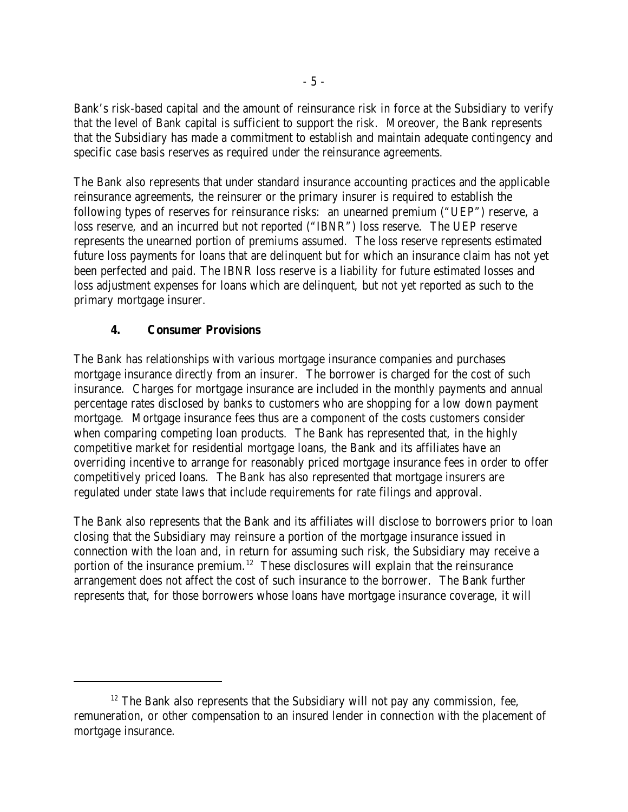Bank's risk-based capital and the amount of reinsurance risk in force at the Subsidiary to verify that the level of Bank capital is sufficient to support the risk. Moreover, the Bank represents that the Subsidiary has made a commitment to establish and maintain adequate contingency and specific case basis reserves as required under the reinsurance agreements.

The Bank also represents that under standard insurance accounting practices and the applicable reinsurance agreements, the reinsurer or the primary insurer is required to establish the following types of reserves for reinsurance risks: an unearned premium ("UEP") reserve, a loss reserve, and an incurred but not reported ("IBNR") loss reserve. The UEP reserve represents the unearned portion of premiums assumed. The loss reserve represents estimated future loss payments for loans that are delinquent but for which an insurance claim has not yet been perfected and paid. The IBNR loss reserve is a liability for future estimated losses and loss adjustment expenses for loans which are delinquent, but not yet reported as such to the primary mortgage insurer.

## **4. Consumer Provisions**

The Bank has relationships with various mortgage insurance companies and purchases mortgage insurance directly from an insurer. The borrower is charged for the cost of such insurance. Charges for mortgage insurance are included in the monthly payments and annual percentage rates disclosed by banks to customers who are shopping for a low down payment mortgage. Mortgage insurance fees thus are a component of the costs customers consider when comparing competing loan products. The Bank has represented that, in the highly competitive market for residential mortgage loans, the Bank and its affiliates have an overriding incentive to arrange for reasonably priced mortgage insurance fees in order to offer competitively priced loans. The Bank has also represented that mortgage insurers are regulated under state laws that include requirements for rate filings and approval.

The Bank also represents that the Bank and its affiliates will disclose to borrowers prior to loan closing that the Subsidiary may reinsure a portion of the mortgage insurance issued in connection with the loan and, in return for assuming such risk, the Subsidiary may receive a portion of the insurance premium.<sup>12</sup> These disclosures will explain that the reinsurance arrangement does not affect the cost of such insurance to the borrower. The Bank further represents that, for those borrowers whose loans have mortgage insurance coverage, it will

 $12$  The Bank also represents that the Subsidiary will not pay any commission, fee, remuneration, or other compensation to an insured lender in connection with the placement of mortgage insurance.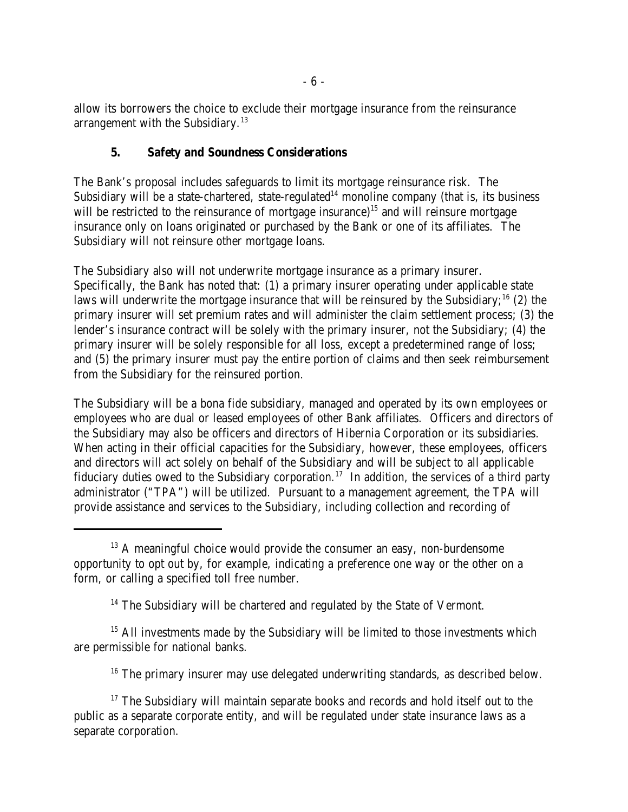allow its borrowers the choice to exclude their mortgage insurance from the reinsurance arrangement with the Subsidiary. $13$ 

## **5. Safety and Soundness Considerations**

The Bank's proposal includes safeguards to limit its mortgage reinsurance risk. The Subsidiary will be a state-chartered, state-regulated<sup>14</sup> monoline company (that is, its business will be restricted to the reinsurance of mortgage insurance)<sup>15</sup> and will reinsure mortgage insurance only on loans originated or purchased by the Bank or one of its affiliates. The Subsidiary will not reinsure other mortgage loans.

The Subsidiary also will not underwrite mortgage insurance as a primary insurer. Specifically, the Bank has noted that: (1) a primary insurer operating under applicable state laws will underwrite the mortgage insurance that will be reinsured by the Subsidiary;  $^{16}$  (2) the primary insurer will set premium rates and will administer the claim settlement process; (3) the lender's insurance contract will be solely with the primary insurer, not the Subsidiary; (4) the primary insurer will be solely responsible for all loss, except a predetermined range of loss; and (5) the primary insurer must pay the entire portion of claims and then seek reimbursement from the Subsidiary for the reinsured portion.

The Subsidiary will be a bona fide subsidiary, managed and operated by its own employees or employees who are dual or leased employees of other Bank affiliates. Officers and directors of the Subsidiary may also be officers and directors of Hibernia Corporation or its subsidiaries. When acting in their official capacities for the Subsidiary, however, these employees, officers and directors will act solely on behalf of the Subsidiary and will be subject to all applicable fiduciary duties owed to the Subsidiary corporation.<sup>17</sup> In addition, the services of a third party administrator ("TPA") will be utilized. Pursuant to a management agreement, the TPA will provide assistance and services to the Subsidiary, including collection and recording of

 $14$  The Subsidiary will be chartered and regulated by the State of Vermont.

 $15$  All investments made by the Subsidiary will be limited to those investments which are permissible for national banks.

 $16$  The primary insurer may use delegated underwriting standards, as described below.

 $13$  A meaningful choice would provide the consumer an easy, non-burdensome opportunity to opt out by, for example, indicating a preference one way or the other on a form, or calling a specified toll free number.

 $17$  The Subsidiary will maintain separate books and records and hold itself out to the public as a separate corporate entity, and will be regulated under state insurance laws as a separate corporation.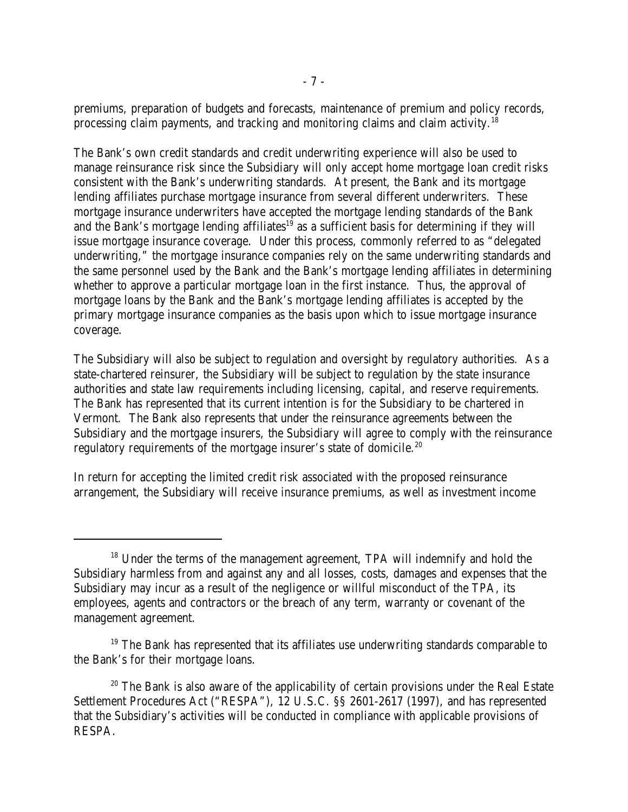premiums, preparation of budgets and forecasts, maintenance of premium and policy records, processing claim payments, and tracking and monitoring claims and claim activity.<sup>18</sup>

The Bank's own credit standards and credit underwriting experience will also be used to manage reinsurance risk since the Subsidiary will only accept home mortgage loan credit risks consistent with the Bank's underwriting standards. At present, the Bank and its mortgage lending affiliates purchase mortgage insurance from several different underwriters. These mortgage insurance underwriters have accepted the mortgage lending standards of the Bank and the Bank's mortgage lending affiliates<sup>19</sup> as a sufficient basis for determining if they will issue mortgage insurance coverage. Under this process, commonly referred to as "delegated underwriting," the mortgage insurance companies rely on the same underwriting standards and the same personnel used by the Bank and the Bank's mortgage lending affiliates in determining whether to approve a particular mortgage loan in the first instance. Thus, the approval of mortgage loans by the Bank and the Bank's mortgage lending affiliates is accepted by the primary mortgage insurance companies as the basis upon which to issue mortgage insurance coverage.

The Subsidiary will also be subject to regulation and oversight by regulatory authorities. As a state-chartered reinsurer, the Subsidiary will be subject to regulation by the state insurance authorities and state law requirements including licensing, capital, and reserve requirements. The Bank has represented that its current intention is for the Subsidiary to be chartered in Vermont. The Bank also represents that under the reinsurance agreements between the Subsidiary and the mortgage insurers, the Subsidiary will agree to comply with the reinsurance regulatory requirements of the mortgage insurer's state of domicile.<sup>20</sup>

In return for accepting the limited credit risk associated with the proposed reinsurance arrangement, the Subsidiary will receive insurance premiums, as well as investment income

 $18$  Under the terms of the management agreement, TPA will indemnify and hold the Subsidiary harmless from and against any and all losses, costs, damages and expenses that the Subsidiary may incur as a result of the negligence or willful misconduct of the TPA, its employees, agents and contractors or the breach of any term, warranty or covenant of the management agreement.

 $19$  The Bank has represented that its affiliates use underwriting standards comparable to the Bank's for their mortgage loans.

 $20$  The Bank is also aware of the applicability of certain provisions under the Real Estate Settlement Procedures Act ("RESPA"), 12 U.S.C. §§ 2601-2617 (1997), and has represented that the Subsidiary's activities will be conducted in compliance with applicable provisions of RESPA.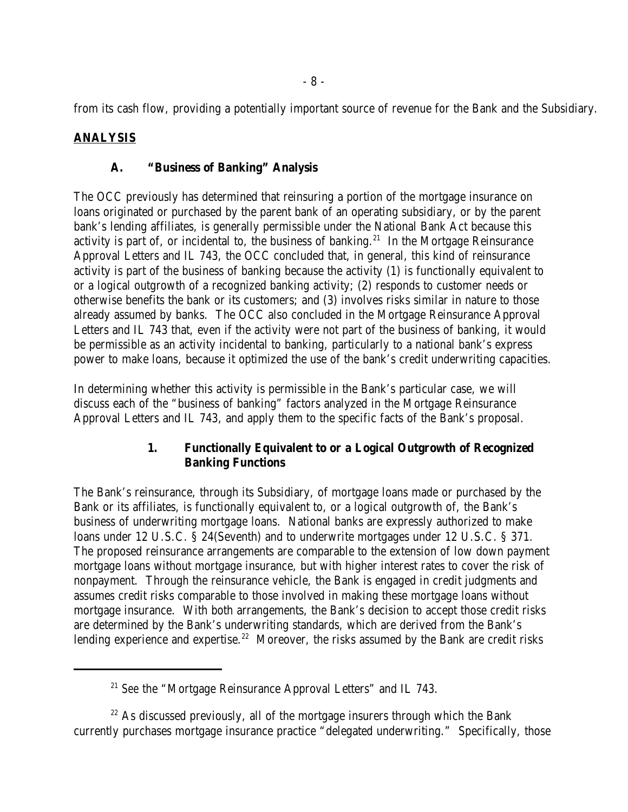from its cash flow, providing a potentially important source of revenue for the Bank and the Subsidiary.

# **ANALYSIS**

## **A. "Business of Banking" Analysis**

The OCC previously has determined that reinsuring a portion of the mortgage insurance on loans originated or purchased by the parent bank of an operating subsidiary, or by the parent bank's lending affiliates, is generally permissible under the National Bank Act because this activity is part of, or incidental to, the business of banking.<sup>21</sup> In the Mortgage Reinsurance Approval Letters and IL 743, the OCC concluded that, in general, this kind of reinsurance activity is part of the business of banking because the activity (1) is functionally equivalent to or a logical outgrowth of a recognized banking activity; (2) responds to customer needs or otherwise benefits the bank or its customers; and (3) involves risks similar in nature to those already assumed by banks. The OCC also concluded in the Mortgage Reinsurance Approval Letters and IL 743 that, even if the activity were not part of the business of banking, it would be permissible as an activity incidental to banking, particularly to a national bank's express power to make loans, because it optimized the use of the bank's credit underwriting capacities.

In determining whether this activity is permissible in the Bank's particular case, we will discuss each of the "business of banking" factors analyzed in the Mortgage Reinsurance Approval Letters and IL 743, and apply them to the specific facts of the Bank's proposal.

## **1. Functionally Equivalent to or a Logical Outgrowth of Recognized Banking Functions**

The Bank's reinsurance, through its Subsidiary, of mortgage loans made or purchased by the Bank or its affiliates, is functionally equivalent to, or a logical outgrowth of, the Bank's business of underwriting mortgage loans. National banks are expressly authorized to make loans under 12 U.S.C. § 24(Seventh) and to underwrite mortgages under 12 U.S.C. § 371. The proposed reinsurance arrangements are comparable to the extension of low down payment mortgage loans without mortgage insurance, but with higher interest rates to cover the risk of nonpayment. Through the reinsurance vehicle, the Bank is engaged in credit judgments and assumes credit risks comparable to those involved in making these mortgage loans without mortgage insurance. With both arrangements, the Bank's decision to accept those credit risks are determined by the Bank's underwriting standards, which are derived from the Bank's lending experience and expertise.<sup>22</sup> Moreover, the risks assumed by the Bank are credit risks

<sup>&</sup>lt;sup>21</sup> See the "Mortgage Reinsurance Approval Letters" and IL 743.

 $22$  As discussed previously, all of the mortgage insurers through which the Bank currently purchases mortgage insurance practice "delegated underwriting." Specifically, those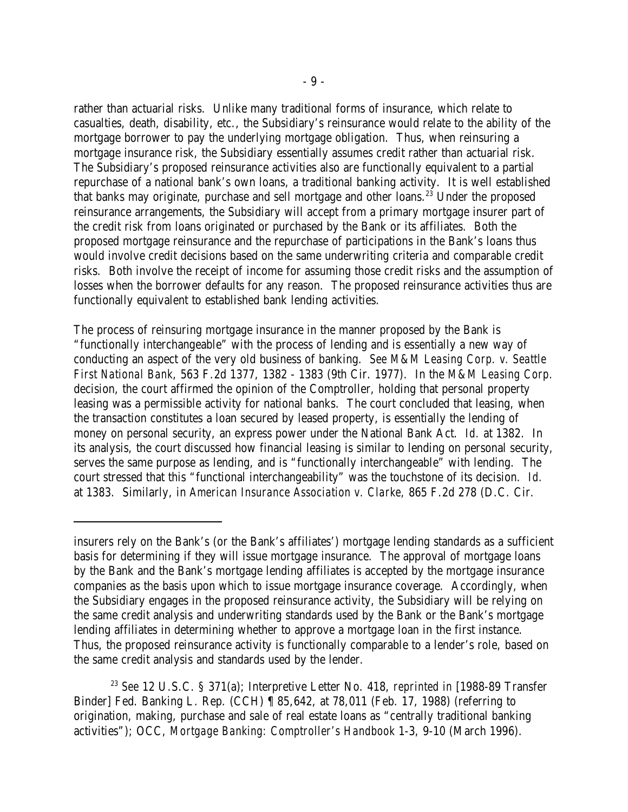rather than actuarial risks. Unlike many traditional forms of insurance, which relate to casualties, death, disability, etc., the Subsidiary's reinsurance would relate to the ability of the mortgage borrower to pay the underlying mortgage obligation. Thus, when reinsuring a mortgage insurance risk, the Subsidiary essentially assumes credit rather than actuarial risk. The Subsidiary's proposed reinsurance activities also are functionally equivalent to a partial repurchase of a national bank's own loans, a traditional banking activity. It is well established that banks may originate, purchase and sell mortgage and other loans.<sup>23</sup> Under the proposed reinsurance arrangements, the Subsidiary will accept from a primary mortgage insurer part of the credit risk from loans originated or purchased by the Bank or its affiliates. Both the proposed mortgage reinsurance and the repurchase of participations in the Bank's loans thus would involve credit decisions based on the same underwriting criteria and comparable credit risks. Both involve the receipt of income for assuming those credit risks and the assumption of losses when the borrower defaults for any reason. The proposed reinsurance activities thus are functionally equivalent to established bank lending activities.

The process of reinsuring mortgage insurance in the manner proposed by the Bank is "functionally interchangeable" with the process of lending and is essentially a new way of conducting an aspect of the very old business of banking. *See M&M Leasing Corp. v. Seattle First National Bank*, 563 F.2d 1377, 1382 - 1383 (9th Cir. 1977). In the *M&M Leasing Corp.* decision, the court affirmed the opinion of the Comptroller, holding that personal property leasing was a permissible activity for national banks. The court concluded that leasing, when the transaction constitutes a loan secured by leased property, is essentially the lending of money on personal security, an express power under the National Bank Act. *Id.* at 1382. In its analysis, the court discussed how financial leasing is similar to lending on personal security, serves the same purpose as lending, and is "functionally interchangeable" with lending. The court stressed that this "functional interchangeability" was the touchstone of its decision. *Id.* at 1383. Similarly, in *American Insurance Association v. Clarke,* 865 F.2d 278 (D.C. Cir.

insurers rely on the Bank's (or the Bank's affiliates') mortgage lending standards as a sufficient basis for determining if they will issue mortgage insurance. The approval of mortgage loans by the Bank and the Bank's mortgage lending affiliates is accepted by the mortgage insurance companies as the basis upon which to issue mortgage insurance coverage. Accordingly, when the Subsidiary engages in the proposed reinsurance activity, the Subsidiary will be relying on the same credit analysis and underwriting standards used by the Bank or the Bank's mortgage lending affiliates in determining whether to approve a mortgage loan in the first instance. Thus, the proposed reinsurance activity is functionally comparable to a lender's role, based on the same credit analysis and standards used by the lender.

<sup>&</sup>lt;sup>23</sup> See 12 U.S.C. § 371(a); Interpretive Letter No. 418, *reprinted in* [1988-89 Transfer Binder] Fed. Banking L. Rep. (CCH) ¶ 85,642, at 78,011 (Feb. 17, 1988) (referring to origination, making, purchase and sale of real estate loans as "centrally traditional banking activities"); OCC, *Mortgage Banking: Comptroller's Handbook* 1-3, 9-10 (March 1996).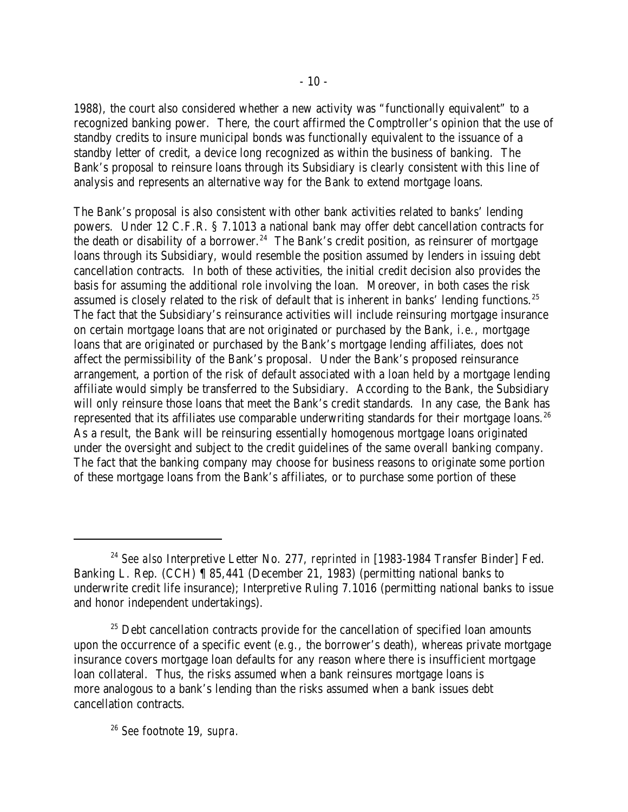1988), the court also considered whether a new activity was "functionally equivalent" to a recognized banking power. There, the court affirmed the Comptroller's opinion that the use of standby credits to insure municipal bonds was functionally equivalent to the issuance of a standby letter of credit, a device long recognized as within the business of banking. The Bank's proposal to reinsure loans through its Subsidiary is clearly consistent with this line of analysis and represents an alternative way for the Bank to extend mortgage loans.

The Bank's proposal is also consistent with other bank activities related to banks' lending powers. Under 12 C.F.R. § 7.1013 a national bank may offer debt cancellation contracts for the death or disability of a borrower.<sup>24</sup> The Bank's credit position, as reinsurer of mortgage loans through its Subsidiary, would resemble the position assumed by lenders in issuing debt cancellation contracts. In both of these activities, the initial credit decision also provides the basis for assuming the additional role involving the loan. Moreover, in both cases the risk assumed is closely related to the risk of default that is inherent in banks' lending functions.<sup>25</sup> The fact that the Subsidiary's reinsurance activities will include reinsuring mortgage insurance on certain mortgage loans that are not originated or purchased by the Bank, *i.e.*, mortgage loans that are originated or purchased by the Bank's mortgage lending affiliates, does not affect the permissibility of the Bank's proposal. Under the Bank's proposed reinsurance arrangement, a portion of the risk of default associated with a loan held by a mortgage lending affiliate would simply be transferred to the Subsidiary. According to the Bank, the Subsidiary will only reinsure those loans that meet the Bank's credit standards. In any case, the Bank has represented that its affiliates use comparable underwriting standards for their mortgage loans.<sup>26</sup> As a result, the Bank will be reinsuring essentially homogenous mortgage loans originated under the oversight and subject to the credit guidelines of the same overall banking company. The fact that the banking company may choose for business reasons to originate some portion of these mortgage loans from the Bank's affiliates, or to purchase some portion of these

<sup>&</sup>lt;sup>24</sup> See also Interpretive Letter No. 277, *reprinted in* [1983-1984 Transfer Binder] Fed. Banking L. Rep. (CCH) ¶ 85,441 (December 21, 1983) (permitting national banks to underwrite credit life insurance); Interpretive Ruling 7.1016 (permitting national banks to issue and honor independent undertakings).

 $25$  Debt cancellation contracts provide for the cancellation of specified loan amounts upon the occurrence of a specific event (*e.g.*, the borrower's death), whereas private mortgage insurance covers mortgage loan defaults for any reason where there is insufficient mortgage loan collateral. Thus, the risks assumed when a bank reinsures mortgage loans is more analogous to a bank's lending than the risks assumed when a bank issues debt cancellation contracts.

*See* footnote 19, *supra.* <sup>26</sup>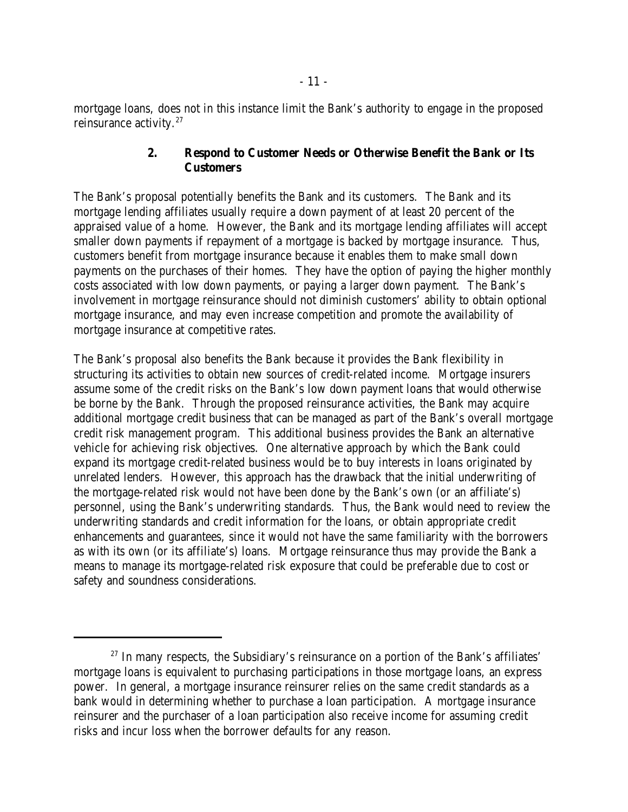mortgage loans, does not in this instance limit the Bank's authority to engage in the proposed reinsurance activity.<sup>27</sup>

## **2. Respond to Customer Needs or Otherwise Benefit the Bank or Its Customers**

The Bank's proposal potentially benefits the Bank and its customers. The Bank and its mortgage lending affiliates usually require a down payment of at least 20 percent of the appraised value of a home. However, the Bank and its mortgage lending affiliates will accept smaller down payments if repayment of a mortgage is backed by mortgage insurance. Thus, customers benefit from mortgage insurance because it enables them to make small down payments on the purchases of their homes. They have the option of paying the higher monthly costs associated with low down payments, or paying a larger down payment. The Bank's involvement in mortgage reinsurance should not diminish customers' ability to obtain optional mortgage insurance, and may even increase competition and promote the availability of mortgage insurance at competitive rates.

The Bank's proposal also benefits the Bank because it provides the Bank flexibility in structuring its activities to obtain new sources of credit-related income. Mortgage insurers assume some of the credit risks on the Bank's low down payment loans that would otherwise be borne by the Bank. Through the proposed reinsurance activities, the Bank may acquire additional mortgage credit business that can be managed as part of the Bank's overall mortgage credit risk management program. This additional business provides the Bank an alternative vehicle for achieving risk objectives. One alternative approach by which the Bank could expand its mortgage credit-related business would be to buy interests in loans originated by unrelated lenders. However, this approach has the drawback that the initial underwriting of the mortgage-related risk would not have been done by the Bank's own (or an affiliate's) personnel, using the Bank's underwriting standards. Thus, the Bank would need to review the underwriting standards and credit information for the loans, or obtain appropriate credit enhancements and guarantees, since it would not have the same familiarity with the borrowers as with its own (or its affiliate's) loans. Mortgage reinsurance thus may provide the Bank a means to manage its mortgage-related risk exposure that could be preferable due to cost or safety and soundness considerations.

 $27$  In many respects, the Subsidiary's reinsurance on a portion of the Bank's affiliates' mortgage loans is equivalent to purchasing participations in those mortgage loans, an express power. In general, a mortgage insurance reinsurer relies on the same credit standards as a bank would in determining whether to purchase a loan participation. A mortgage insurance reinsurer and the purchaser of a loan participation also receive income for assuming credit risks and incur loss when the borrower defaults for any reason.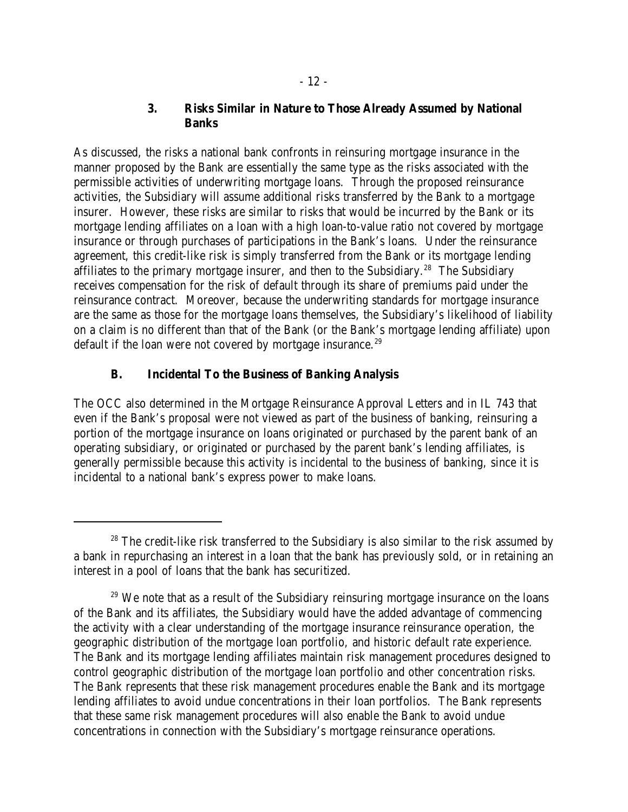## **3. Risks Similar in Nature to Those Already Assumed by National Banks**

As discussed, the risks a national bank confronts in reinsuring mortgage insurance in the manner proposed by the Bank are essentially the same type as the risks associated with the permissible activities of underwriting mortgage loans. Through the proposed reinsurance activities, the Subsidiary will assume additional risks transferred by the Bank to a mortgage insurer. However, these risks are similar to risks that would be incurred by the Bank or its mortgage lending affiliates on a loan with a high loan-to-value ratio not covered by mortgage insurance or through purchases of participations in the Bank's loans. Under the reinsurance agreement, this credit-like risk is simply transferred from the Bank or its mortgage lending affiliates to the primary mortgage insurer, and then to the Subsidiary.<sup>28</sup> The Subsidiary receives compensation for the risk of default through its share of premiums paid under the reinsurance contract. Moreover, because the underwriting standards for mortgage insurance are the same as those for the mortgage loans themselves, the Subsidiary's likelihood of liability on a claim is no different than that of the Bank (or the Bank's mortgage lending affiliate) upon default if the loan were not covered by mortgage insurance.<sup>29</sup>

## **B. Incidental To the Business of Banking Analysis**

The OCC also determined in the Mortgage Reinsurance Approval Letters and in IL 743 that even if the Bank's proposal were not viewed as part of the business of banking, reinsuring a portion of the mortgage insurance on loans originated or purchased by the parent bank of an operating subsidiary, or originated or purchased by the parent bank's lending affiliates, is generally permissible because this activity is incidental to the business of banking, since it is incidental to a national bank's express power to make loans.

 $28$  The credit-like risk transferred to the Subsidiary is also similar to the risk assumed by a bank in repurchasing an interest in a loan that the bank has previously sold, or in retaining an interest in a pool of loans that the bank has securitized.

 $29$  We note that as a result of the Subsidiary reinsuring mortgage insurance on the loans of the Bank and its affiliates, the Subsidiary would have the added advantage of commencing the activity with a clear understanding of the mortgage insurance reinsurance operation, the geographic distribution of the mortgage loan portfolio, and historic default rate experience. The Bank and its mortgage lending affiliates maintain risk management procedures designed to control geographic distribution of the mortgage loan portfolio and other concentration risks. The Bank represents that these risk management procedures enable the Bank and its mortgage lending affiliates to avoid undue concentrations in their loan portfolios. The Bank represents that these same risk management procedures will also enable the Bank to avoid undue concentrations in connection with the Subsidiary's mortgage reinsurance operations.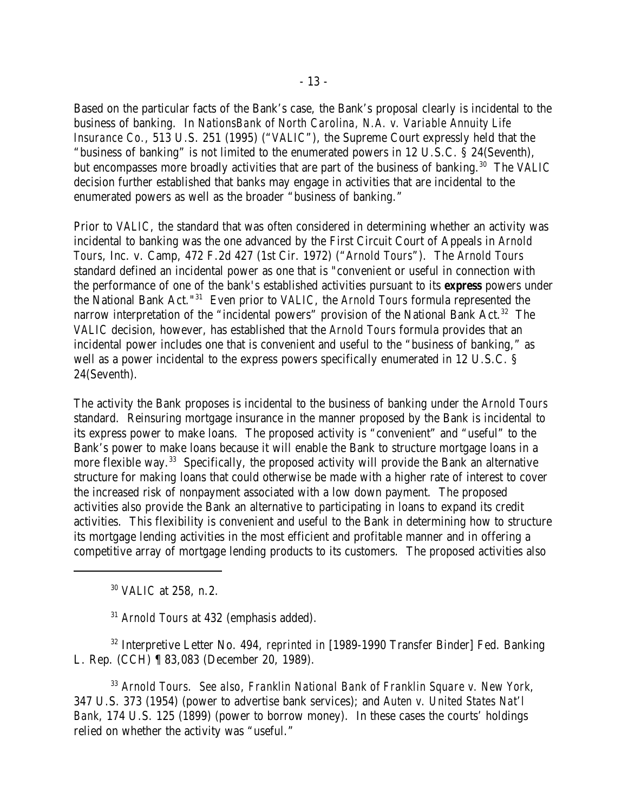Based on the particular facts of the Bank's case, the Bank's proposal clearly is incidental to the business of banking. In *NationsBank of North Carolina, N.A. v. Variable Annuity Life Insurance Co.*, 513 U.S. 251 (1995) ("*VALIC*"), the Supreme Court expressly held that the "business of banking" is not limited to the enumerated powers in 12 U.S.C. § 24(Seventh), but encompasses more broadly activities that are part of the business of banking.<sup>30</sup> The *VALIC* decision further established that banks may engage in activities that are incidental to the enumerated powers as well as the broader "business of banking."

Prior to *VALIC*, the standard that was often considered in determining whether an activity was incidental to banking was the one advanced by the First Circuit Court of Appeals in *Arnold Tours*, Inc. v. Camp, 472 F.2d 427 (1st Cir. 1972) ("*Arnold Tours*"). The *Arnold Tours* standard defined an incidental power as one that is "convenient or useful in connection with the performance of one of the bank's established activities pursuant to its *express* powers under the National Bank Act."<sup>31</sup> Even prior to *VALIC*, the *Arnold Tours* formula represented the narrow interpretation of the "incidental powers" provision of the National Bank Act.<sup>32</sup> The *VALIC* decision, however, has established that the *Arnold Tours* formula provides that an incidental power includes one that is convenient and useful to the "business of banking," as well as a power incidental to the express powers specifically enumerated in 12 U.S.C. § 24(Seventh).

The activity the Bank proposes is incidental to the business of banking under the *Arnold Tours* standard. Reinsuring mortgage insurance in the manner proposed by the Bank is incidental to its express power to make loans. The proposed activity is "convenient" and "useful" to the Bank's power to make loans because it will enable the Bank to structure mortgage loans in a more flexible way.<sup>33</sup> Specifically, the proposed activity will provide the Bank an alternative structure for making loans that could otherwise be made with a higher rate of interest to cover the increased risk of nonpayment associated with a low down payment. The proposed activities also provide the Bank an alternative to participating in loans to expand its credit activities. This flexibility is convenient and useful to the Bank in determining how to structure its mortgage lending activities in the most efficient and profitable manner and in offering a competitive array of mortgage lending products to its customers. The proposed activities also

<sup>30</sup> *VALIC* at 258, n.2.

<sup>31</sup> Arnold Tours at 432 (emphasis added).

<sup>32</sup> Interpretive Letter No. 494, *reprinted in* [1989-1990 Transfer Binder] Fed. Banking L. Rep. (CCH) ¶ 83,083 (December 20, 1989).

*Arnold Tours. See also*, *Franklin National Bank of Franklin Square v. New York*, 33 347 U.S. 373 (1954) (power to advertise bank services); and *Auten v. United States Nat'l Bank*, 174 U.S. 125 (1899) (power to borrow money). In these cases the courts' holdings relied on whether the activity was "useful."